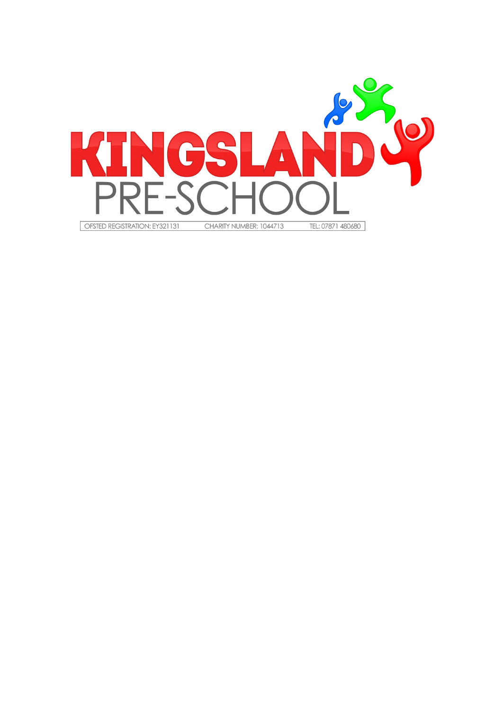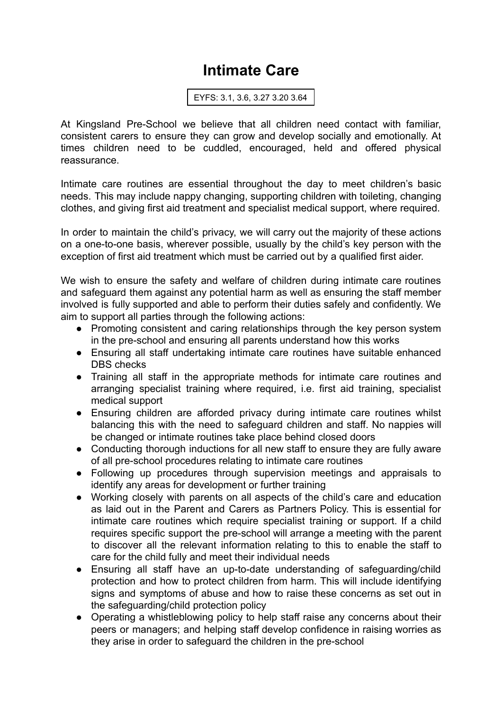## **Intimate Care**

EYFS: 3.1, 3.6, 3.27 3.20 3.64

At Kingsland Pre-School we believe that all children need contact with familiar, consistent carers to ensure they can grow and develop socially and emotionally. At times children need to be cuddled, encouraged, held and offered physical reassurance.

Intimate care routines are essential throughout the day to meet children's basic needs. This may include nappy changing, supporting children with toileting, changing clothes, and giving first aid treatment and specialist medical support, where required.

In order to maintain the child's privacy, we will carry out the majority of these actions on a one-to-one basis, wherever possible, usually by the child's key person with the exception of first aid treatment which must be carried out by a qualified first aider.

We wish to ensure the safety and welfare of children during intimate care routines and safeguard them against any potential harm as well as ensuring the staff member involved is fully supported and able to perform their duties safely and confidently. We aim to support all parties through the following actions:

- Promoting consistent and caring relationships through the key person system in the pre-school and ensuring all parents understand how this works
- Ensuring all staff undertaking intimate care routines have suitable enhanced DBS checks
- Training all staff in the appropriate methods for intimate care routines and arranging specialist training where required, i.e. first aid training, specialist medical support
- Ensuring children are afforded privacy during intimate care routines whilst balancing this with the need to safeguard children and staff. No nappies will be changed or intimate routines take place behind closed doors
- Conducting thorough inductions for all new staff to ensure they are fully aware of all pre-school procedures relating to intimate care routines
- Following up procedures through supervision meetings and appraisals to identify any areas for development or further training
- Working closely with parents on all aspects of the child's care and education as laid out in the Parent and Carers as Partners Policy. This is essential for intimate care routines which require specialist training or support. If a child requires specific support the pre-school will arrange a meeting with the parent to discover all the relevant information relating to this to enable the staff to care for the child fully and meet their individual needs
- Ensuring all staff have an up-to-date understanding of safeguarding/child protection and how to protect children from harm. This will include identifying signs and symptoms of abuse and how to raise these concerns as set out in the safeguarding/child protection policy
- Operating a whistleblowing policy to help staff raise any concerns about their peers or managers; and helping staff develop confidence in raising worries as they arise in order to safeguard the children in the pre-school